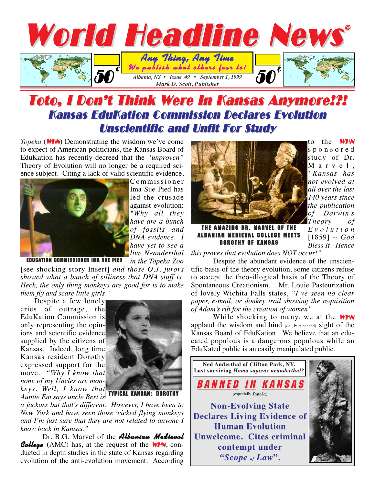

## Toto, I Don't Think Were In Kansas Anymore!?! Kansas EduKation Commission Declares Evolution Unscientific and Unfit For Study

*Topeka* (**WHN**) Demonstrating the wisdom we've come to expect of American politicians, the Kansas Board of EduKation has recently decreed that the *"unproven"* Theory of Evolution will no longer be a required science subject. Citing a lack of valid scientific evidence,



Commissioner Ima Sue Pied has led the crusade against evolution: *"Why all they have are a bunch of fossils and DNA evidence. I have yet to see a live Neanderthal in the Topeka Zoo*

EDUCATION COMMISSIONER IMA SUE PIED

[see shocking story Insert] *and those O.J. jurors showed what a bunch of silliness that DNA stuff is. Heck, the only thing monkeys are good for is to make them fly and scare little girls."*

Despite a few lonely cries of outrage, the EduKation Commission is only representing the opinions and scientific evidence supplied by the citizens of Kansas. Indeed, long time Kansas resident Dorothy expressed support for the move. *"Why I know that none of my Uncles are monkeys. Well, I know that*



*Auntie Em says uncle Bert is*

*a jackass but that's different. However, I have been to New York and have seen those wicked flying monkeys and I'm just sure that they are not related to anyone I know back in Kansas."* 

Dr. B.G. Marvel of the **Albanian Medieval College** (AMC) has, at the request of the **WHN**, conducted in depth studies in the state of Kansas regarding evolution of the anti-evolution movement. According



to the WHN sponsored study of Dr. Marvel, *"Kansas has not evolved at all over the last 140 years since the publication of Darwin's Theory of Evolution* [1859] *-- God Bless It. Hence*

THE AMAZING DR. MARVEL OF THE ALBANIAN MEDIEVAL COLLEGE MEETS **DOROTHY OF KANSAS** 

*this proves that evolution does NOT occur!"*

Despite the abundant evidence of the unscientific basis of the theory evolution, some citizens refuse to accept the theo-illogical basis of the Theory of Spontaneous Creationism. Mr. Louie Pasteurization of lovely Wichita Falls states, *"I've seen no clear paper, e-mail, or donkey trail showing the requisition of Adam's rib for the creation of women".*

While shocking to many, we at the **WHN** applaud the wisdom and hind (*i.e.*, butt headed) sight of the Kansas Board of EduKation. We believe that an educated populous is a dangerous populous while an EduKated public is an easily manipulated public.

**Ned Anderthal of Clifton Park, NY.**  Last surviving *Homo sapiens neanderthal?* BANNED IN KANSAS (especially *Topeka*) **Non-Evolving State Non-Evolving State Declares Living Evidence of Human Evolution Human Unwelcome. Cites criminal Unwelcome. Cites criminal contempt under contempt under** *"Scope of Law***".**